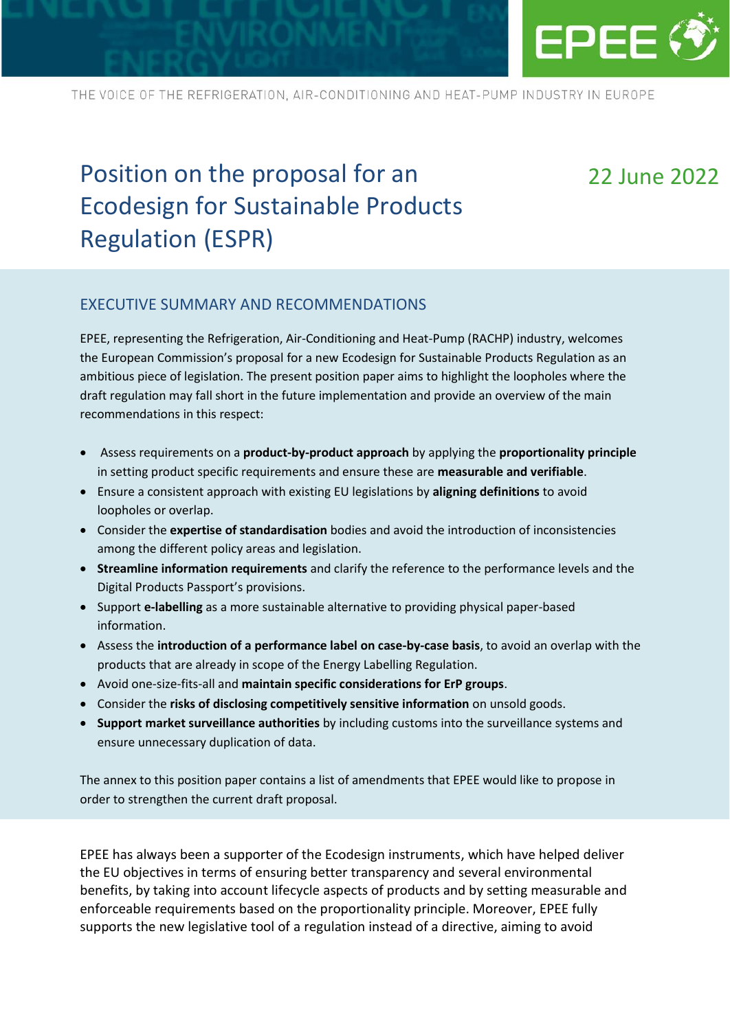

# Position on the proposal for an Ecodesign for Sustainable Products Regulation (ESPR)

## 22 June 2022

#### EXECUTIVE SUMMARY AND RECOMMENDATIONS

EPEE, representing the Refrigeration, Air-Conditioning and Heat-Pump (RACHP) industry, welcomes the European Commission's proposal for a new Ecodesign for Sustainable Products Regulation as an ambitious piece of legislation. The present position paper aims to highlight the loopholes where the draft regulation may fall short in the future implementation and provide an overview of the main recommendations in this respect:

- Assess requirements on a **product-by-product approach** by applying the **proportionality principle** in setting product specific requirements and ensure these are **measurable and verifiable**.
- Ensure a consistent approach with existing EU legislations by **aligning definitions** to avoid loopholes or overlap.
- Consider the **expertise of standardisation** bodies and avoid the introduction of inconsistencies among the different policy areas and legislation.
- **Streamline information requirements** and clarify the reference to the performance levels and the Digital Products Passport's provisions.
- Support **e-labelling** as a more sustainable alternative to providing physical paper-based information.
- Assess the **introduction of a performance label on case-by-case basis**, to avoid an overlap with the products that are already in scope of the Energy Labelling Regulation.
- Avoid one-size-fits-all and **maintain specific considerations for ErP groups**.
- Consider the **risks of disclosing competitively sensitive information** on unsold goods.
- **Support market surveillance authorities** by including customs into the surveillance systems and ensure unnecessary duplication of data.

The annex to this position paper contains a list of amendments that EPEE would like to propose in order to strengthen the current draft proposal.

EPEE has always been a supporter of the Ecodesign instruments, which have helped deliver the EU objectives in terms of ensuring better transparency and several environmental benefits, by taking into account lifecycle aspects of products and by setting measurable and enforceable requirements based on the proportionality principle. Moreover, EPEE fully supports the new legislative tool of a regulation instead of a directive, aiming to avoid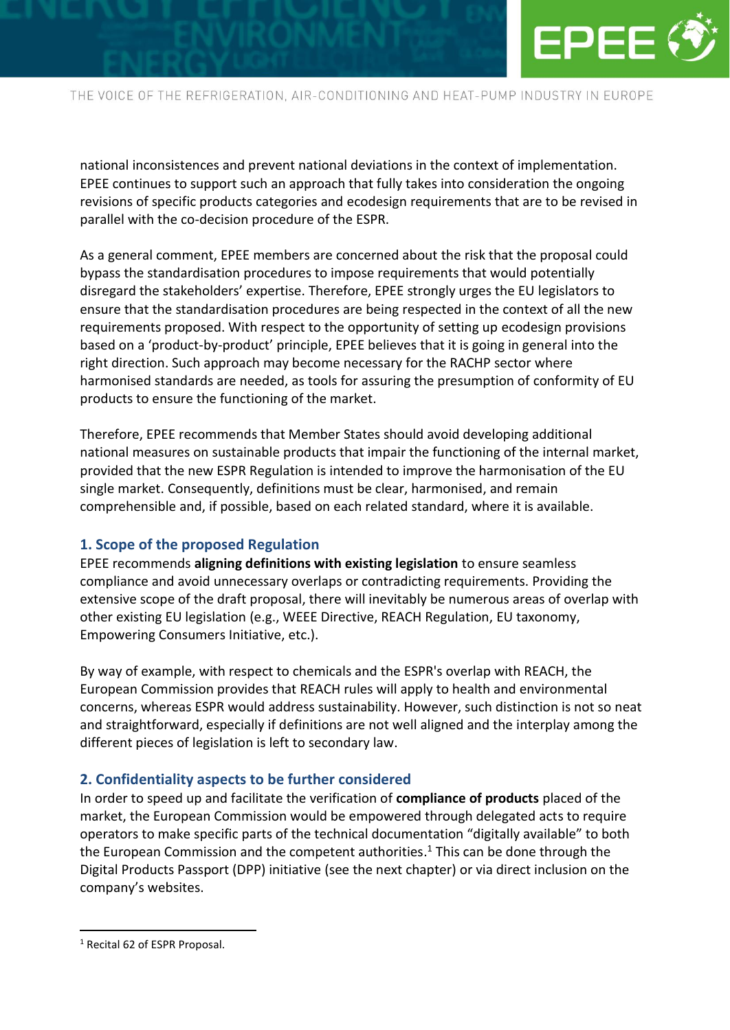

national inconsistences and prevent national deviations in the context of implementation. EPEE continues to support such an approach that fully takes into consideration the ongoing revisions of specific products categories and ecodesign requirements that are to be revised in parallel with the co-decision procedure of the ESPR.

As a general comment, EPEE members are concerned about the risk that the proposal could bypass the standardisation procedures to impose requirements that would potentially disregard the stakeholders' expertise. Therefore, EPEE strongly urges the EU legislators to ensure that the standardisation procedures are being respected in the context of all the new requirements proposed. With respect to the opportunity of setting up ecodesign provisions based on a 'product-by-product' principle, EPEE believes that it is going in general into the right direction. Such approach may become necessary for the RACHP sector where harmonised standards are needed, as tools for assuring the presumption of conformity of EU products to ensure the functioning of the market.

Therefore, EPEE recommends that Member States should avoid developing additional national measures on sustainable products that impair the functioning of the internal market, provided that the new ESPR Regulation is intended to improve the harmonisation of the EU single market. Consequently, definitions must be clear, harmonised, and remain comprehensible and, if possible, based on each related standard, where it is available.

#### **1. Scope of the proposed Regulation**

EPEE recommends **aligning definitions with existing legislation** to ensure seamless compliance and avoid unnecessary overlaps or contradicting requirements. Providing the extensive scope of the draft proposal, there will inevitably be numerous areas of overlap with other existing EU legislation (e.g., WEEE Directive, REACH Regulation, EU taxonomy, Empowering Consumers Initiative, etc.).

By way of example, with respect to chemicals and the ESPR's overlap with REACH, the European Commission provides that REACH rules will apply to health and environmental concerns, whereas ESPR would address sustainability. However, such distinction is not so neat and straightforward, especially if definitions are not well aligned and the interplay among the different pieces of legislation is left to secondary law.

#### **2. Confidentiality aspects to be further considered**

In order to speed up and facilitate the verification of **compliance of products** placed of the market, the European Commission would be empowered through delegated acts to require operators to make specific parts of the technical documentation "digitally available" to both the European Commission and the competent authorities.<sup>1</sup> This can be done through the Digital Products Passport (DPP) initiative (see the next chapter) or via direct inclusion on the company's websites.

<sup>1</sup> Recital 62 of ESPR Proposal.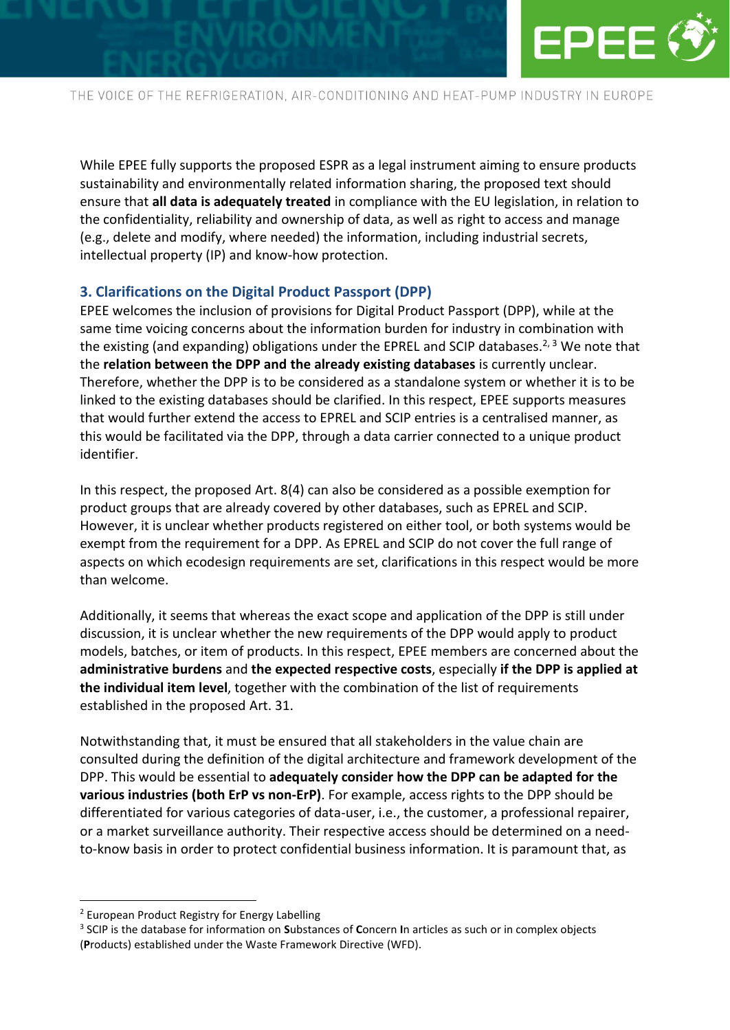

While EPEE fully supports the proposed ESPR as a legal instrument aiming to ensure products sustainability and environmentally related information sharing, the proposed text should ensure that **all data is adequately treated** in compliance with the EU legislation, in relation to the confidentiality, reliability and ownership of data, as well as right to access and manage (e.g., delete and modify, where needed) the information, including industrial secrets, intellectual property (IP) and know-how protection.

#### **3. Clarifications on the Digital Product Passport (DPP)**

EPEE welcomes the inclusion of provisions for Digital Product Passport (DPP), while at the same time voicing concerns about the information burden for industry in combination with the existing (and expanding) obligations under the EPREL and SCIP databases.<sup>2, 3</sup> We note that the **relation between the DPP and the already existing databases** is currently unclear. Therefore, whether the DPP is to be considered as a standalone system or whether it is to be linked to the existing databases should be clarified. In this respect, EPEE supports measures that would further extend the access to EPREL and SCIP entries is a centralised manner, as this would be facilitated via the DPP, through a data carrier connected to a unique product identifier.

In this respect, the proposed Art. 8(4) can also be considered as a possible exemption for product groups that are already covered by other databases, such as EPREL and SCIP. However, it is unclear whether products registered on either tool, or both systems would be exempt from the requirement for a DPP. As EPREL and SCIP do not cover the full range of aspects on which ecodesign requirements are set, clarifications in this respect would be more than welcome.

Additionally, it seems that whereas the exact scope and application of the DPP is still under discussion, it is unclear whether the new requirements of the DPP would apply to product models, batches, or item of products. In this respect, EPEE members are concerned about the **administrative burdens** and **the expected respective costs**, especially **if the DPP is applied at the individual item level**, together with the combination of the list of requirements established in the proposed Art. 31.

Notwithstanding that, it must be ensured that all stakeholders in the value chain are consulted during the definition of the digital architecture and framework development of the DPP. This would be essential to **adequately consider how the DPP can be adapted for the various industries (both ErP vs non-ErP)**. For example, access rights to the DPP should be differentiated for various categories of data-user, i.e., the customer, a professional repairer, or a market surveillance authority. Their respective access should be determined on a needto-know basis in order to protect confidential business information. It is paramount that, as

<sup>2</sup> European Product Registry for Energy Labelling

<sup>3</sup> SCIP is the database for information on **S**ubstances of **C**oncern **I**n articles as such or in complex objects (**P**roducts) established under the Waste Framework Directive (WFD).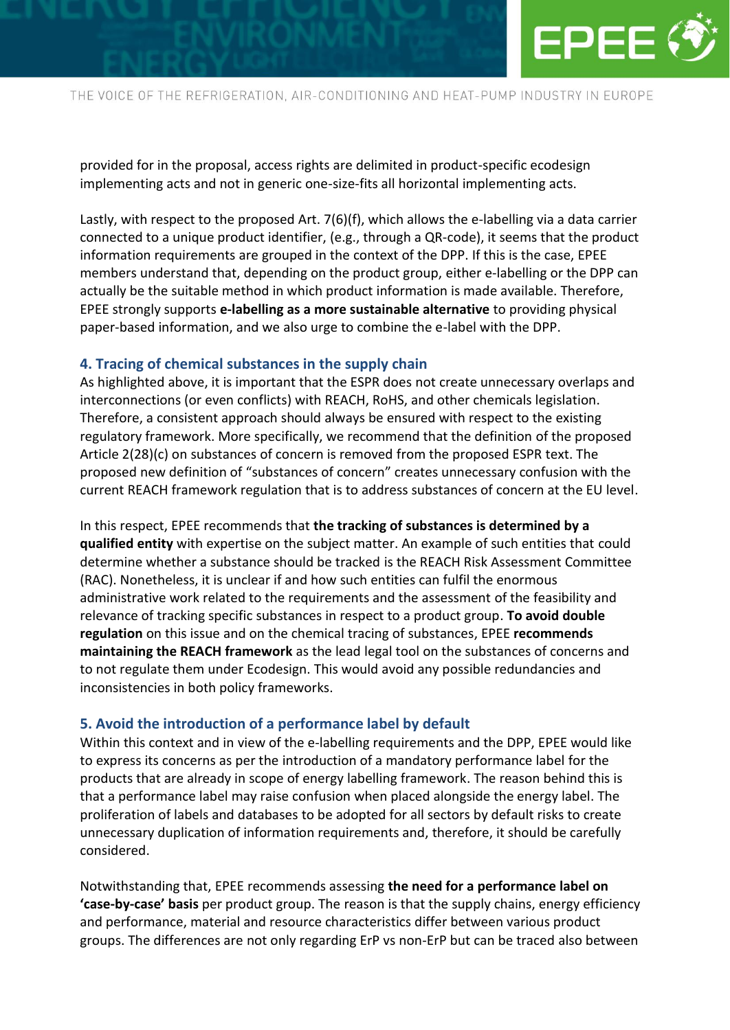

provided for in the proposal, access rights are delimited in product-specific ecodesign implementing acts and not in generic one-size-fits all horizontal implementing acts.

Lastly, with respect to the proposed Art. 7(6)(f), which allows the e-labelling via a data carrier connected to a unique product identifier, (e.g., through a QR-code), it seems that the product information requirements are grouped in the context of the DPP. If this is the case, EPEE members understand that, depending on the product group, either e-labelling or the DPP can actually be the suitable method in which product information is made available. Therefore, EPEE strongly supports **e-labelling as a more sustainable alternative** to providing physical paper-based information, and we also urge to combine the e-label with the DPP.

#### **4. Tracing of chemical substances in the supply chain**

As highlighted above, it is important that the ESPR does not create unnecessary overlaps and interconnections (or even conflicts) with REACH, RoHS, and other chemicals legislation. Therefore, a consistent approach should always be ensured with respect to the existing regulatory framework. More specifically, we recommend that the definition of the proposed Article 2(28)(c) on substances of concern is removed from the proposed ESPR text. The proposed new definition of "substances of concern" creates unnecessary confusion with the current REACH framework regulation that is to address substances of concern at the EU level.

In this respect, EPEE recommends that **the tracking of substances is determined by a qualified entity** with expertise on the subject matter. An example of such entities that could determine whether a substance should be tracked is the REACH Risk Assessment Committee (RAC). Nonetheless, it is unclear if and how such entities can fulfil the enormous administrative work related to the requirements and the assessment of the feasibility and relevance of tracking specific substances in respect to a product group. **To avoid double regulation** on this issue and on the chemical tracing of substances, EPEE **recommends maintaining the REACH framework** as the lead legal tool on the substances of concerns and to not regulate them under Ecodesign. This would avoid any possible redundancies and inconsistencies in both policy frameworks.

#### **5. Avoid the introduction of a performance label by default**

Within this context and in view of the e-labelling requirements and the DPP, EPEE would like to express its concerns as per the introduction of a mandatory performance label for the products that are already in scope of energy labelling framework. The reason behind this is that a performance label may raise confusion when placed alongside the energy label. The proliferation of labels and databases to be adopted for all sectors by default risks to create unnecessary duplication of information requirements and, therefore, it should be carefully considered.

Notwithstanding that, EPEE recommends assessing **the need for a performance label on 'case-by-case' basis** per product group. The reason is that the supply chains, energy efficiency and performance, material and resource characteristics differ between various product groups. The differences are not only regarding ErP vs non-ErP but can be traced also between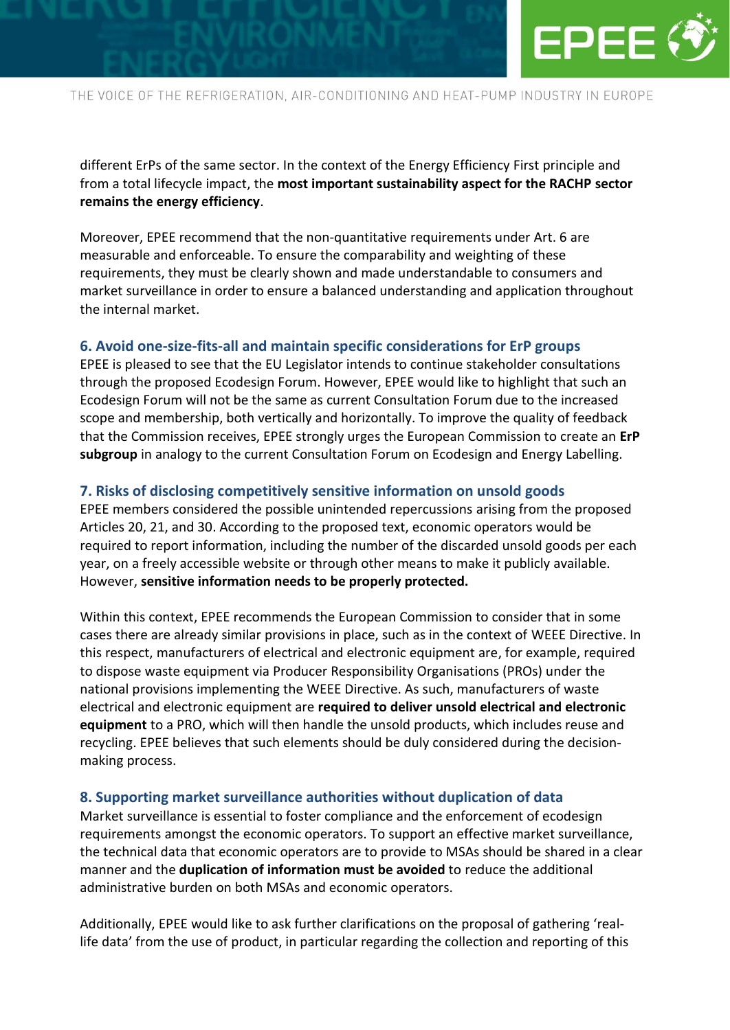

different ErPs of the same sector. In the context of the Energy Efficiency First principle and from a total lifecycle impact, the **most important sustainability aspect for the RACHP sector remains the energy efficiency**.

Moreover, EPEE recommend that the non-quantitative requirements under Art. 6 are measurable and enforceable. To ensure the comparability and weighting of these requirements, they must be clearly shown and made understandable to consumers and market surveillance in order to ensure a balanced understanding and application throughout the internal market.

#### **6. Avoid one-size-fits-all and maintain specific considerations for ErP groups**

EPEE is pleased to see that the EU Legislator intends to continue stakeholder consultations through the proposed Ecodesign Forum. However, EPEE would like to highlight that such an Ecodesign Forum will not be the same as current Consultation Forum due to the increased scope and membership, both vertically and horizontally. To improve the quality of feedback that the Commission receives, EPEE strongly urges the European Commission to create an **ErP subgroup** in analogy to the current Consultation Forum on Ecodesign and Energy Labelling.

#### **7. Risks of disclosing competitively sensitive information on unsold goods**

EPEE members considered the possible unintended repercussions arising from the proposed Articles 20, 21, and 30. According to the proposed text, economic operators would be required to report information, including the number of the discarded unsold goods per each year, on a freely accessible website or through other means to make it publicly available. However, **sensitive information needs to be properly protected.**

Within this context, EPEE recommends the European Commission to consider that in some cases there are already similar provisions in place, such as in the context of WEEE Directive. In this respect, manufacturers of electrical and electronic equipment are, for example, required to dispose waste equipment via Producer Responsibility Organisations (PROs) under the national provisions implementing the WEEE Directive. As such, manufacturers of waste electrical and electronic equipment are **required to deliver unsold electrical and electronic equipment** to a PRO, which will then handle the unsold products, which includes reuse and recycling. EPEE believes that such elements should be duly considered during the decisionmaking process.

#### **8. Supporting market surveillance authorities without duplication of data**

Market surveillance is essential to foster compliance and the enforcement of ecodesign requirements amongst the economic operators. To support an effective market surveillance, the technical data that economic operators are to provide to MSAs should be shared in a clear manner and the **duplication of information must be avoided** to reduce the additional administrative burden on both MSAs and economic operators.

Additionally, EPEE would like to ask further clarifications on the proposal of gathering 'reallife data' from the use of product, in particular regarding the collection and reporting of this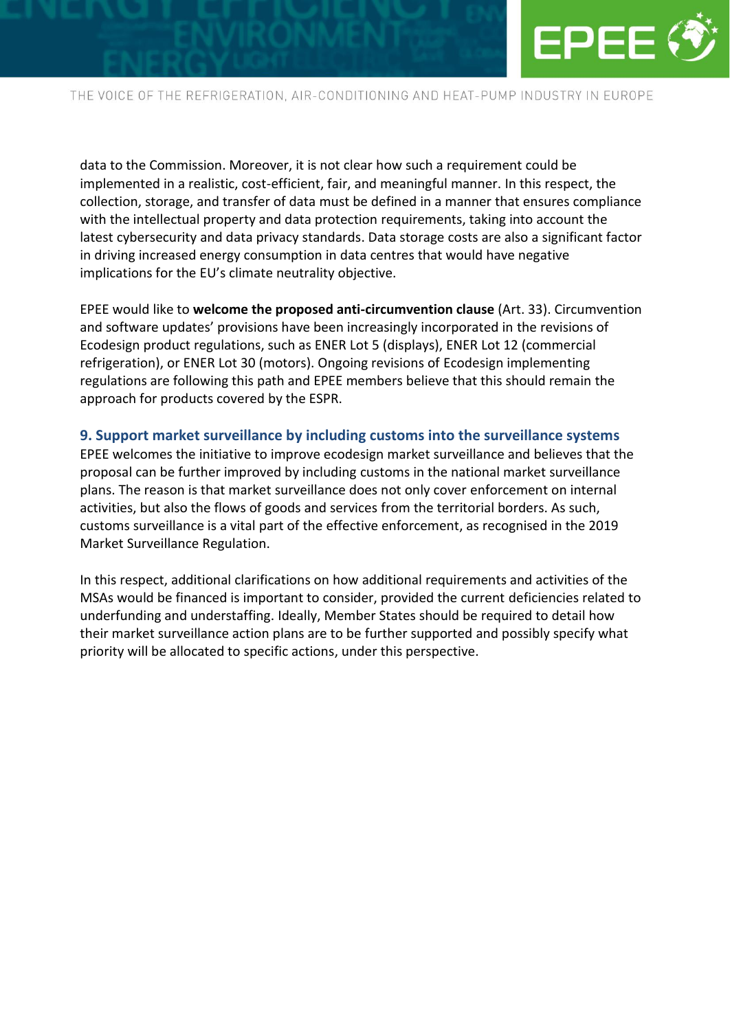

data to the Commission. Moreover, it is not clear how such a requirement could be implemented in a realistic, cost-efficient, fair, and meaningful manner. In this respect, the collection, storage, and transfer of data must be defined in a manner that ensures compliance with the intellectual property and data protection requirements, taking into account the latest cybersecurity and data privacy standards. Data storage costs are also a significant factor in driving increased energy consumption in data centres that would have negative implications for the EU's climate neutrality objective.

EPEE would like to **welcome the proposed anti-circumvention clause** (Art. 33). Circumvention and software updates' provisions have been increasingly incorporated in the revisions of Ecodesign product regulations, such as ENER Lot 5 (displays), ENER Lot 12 (commercial refrigeration), or ENER Lot 30 (motors). Ongoing revisions of Ecodesign implementing regulations are following this path and EPEE members believe that this should remain the approach for products covered by the ESPR.

#### **9. Support market surveillance by including customs into the surveillance systems**

EPEE welcomes the initiative to improve ecodesign market surveillance and believes that the proposal can be further improved by including customs in the national market surveillance plans. The reason is that market surveillance does not only cover enforcement on internal activities, but also the flows of goods and services from the territorial borders. As such, customs surveillance is a vital part of the effective enforcement, as recognised in the 2019 Market Surveillance Regulation.

In this respect, additional clarifications on how additional requirements and activities of the MSAs would be financed is important to consider, provided the current deficiencies related to underfunding and understaffing. Ideally, Member States should be required to detail how their market surveillance action plans are to be further supported and possibly specify what priority will be allocated to specific actions, under this perspective.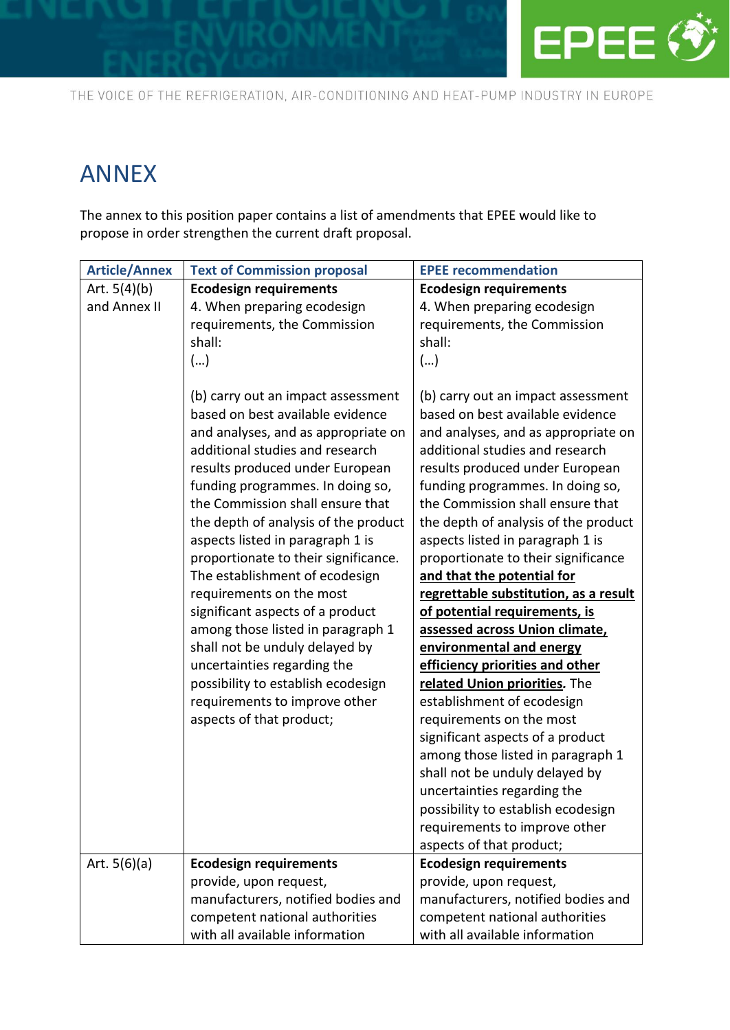

## ANNEX

The annex to this position paper contains a list of amendments that EPEE would like to propose in order strengthen the current draft proposal.

| <b>Article/Annex</b>           | <b>Text of Commission proposal</b>                                                                                                                                                                                                                                                                                                                                                                                                                                                                                                                                                                                                                                                         | <b>EPEE recommendation</b>                                                                                                                                                                                                                                                                                                                                                                                                                                                                                                                                                                                                                                                                                                                                                                                                                                                                                                      |
|--------------------------------|--------------------------------------------------------------------------------------------------------------------------------------------------------------------------------------------------------------------------------------------------------------------------------------------------------------------------------------------------------------------------------------------------------------------------------------------------------------------------------------------------------------------------------------------------------------------------------------------------------------------------------------------------------------------------------------------|---------------------------------------------------------------------------------------------------------------------------------------------------------------------------------------------------------------------------------------------------------------------------------------------------------------------------------------------------------------------------------------------------------------------------------------------------------------------------------------------------------------------------------------------------------------------------------------------------------------------------------------------------------------------------------------------------------------------------------------------------------------------------------------------------------------------------------------------------------------------------------------------------------------------------------|
| Art. $5(4)(b)$<br>and Annex II | <b>Ecodesign requirements</b><br>4. When preparing ecodesign<br>requirements, the Commission<br>shall:<br>()                                                                                                                                                                                                                                                                                                                                                                                                                                                                                                                                                                               | <b>Ecodesign requirements</b><br>4. When preparing ecodesign<br>requirements, the Commission<br>shall:<br>()                                                                                                                                                                                                                                                                                                                                                                                                                                                                                                                                                                                                                                                                                                                                                                                                                    |
|                                | (b) carry out an impact assessment<br>based on best available evidence<br>and analyses, and as appropriate on<br>additional studies and research<br>results produced under European<br>funding programmes. In doing so,<br>the Commission shall ensure that<br>the depth of analysis of the product<br>aspects listed in paragraph 1 is<br>proportionate to their significance.<br>The establishment of ecodesign<br>requirements on the most<br>significant aspects of a product<br>among those listed in paragraph 1<br>shall not be unduly delayed by<br>uncertainties regarding the<br>possibility to establish ecodesign<br>requirements to improve other<br>aspects of that product; | (b) carry out an impact assessment<br>based on best available evidence<br>and analyses, and as appropriate on<br>additional studies and research<br>results produced under European<br>funding programmes. In doing so,<br>the Commission shall ensure that<br>the depth of analysis of the product<br>aspects listed in paragraph 1 is<br>proportionate to their significance<br>and that the potential for<br>regrettable substitution, as a result<br>of potential requirements, is<br>assessed across Union climate,<br>environmental and energy<br>efficiency priorities and other<br>related Union priorities. The<br>establishment of ecodesign<br>requirements on the most<br>significant aspects of a product<br>among those listed in paragraph 1<br>shall not be unduly delayed by<br>uncertainties regarding the<br>possibility to establish ecodesign<br>requirements to improve other<br>aspects of that product; |
| Art. $5(6)(a)$                 | <b>Ecodesign requirements</b>                                                                                                                                                                                                                                                                                                                                                                                                                                                                                                                                                                                                                                                              | <b>Ecodesign requirements</b>                                                                                                                                                                                                                                                                                                                                                                                                                                                                                                                                                                                                                                                                                                                                                                                                                                                                                                   |
|                                | provide, upon request,                                                                                                                                                                                                                                                                                                                                                                                                                                                                                                                                                                                                                                                                     | provide, upon request,                                                                                                                                                                                                                                                                                                                                                                                                                                                                                                                                                                                                                                                                                                                                                                                                                                                                                                          |
|                                | manufacturers, notified bodies and                                                                                                                                                                                                                                                                                                                                                                                                                                                                                                                                                                                                                                                         | manufacturers, notified bodies and                                                                                                                                                                                                                                                                                                                                                                                                                                                                                                                                                                                                                                                                                                                                                                                                                                                                                              |
|                                | competent national authorities                                                                                                                                                                                                                                                                                                                                                                                                                                                                                                                                                                                                                                                             | competent national authorities                                                                                                                                                                                                                                                                                                                                                                                                                                                                                                                                                                                                                                                                                                                                                                                                                                                                                                  |
|                                | with all available information                                                                                                                                                                                                                                                                                                                                                                                                                                                                                                                                                                                                                                                             | with all available information                                                                                                                                                                                                                                                                                                                                                                                                                                                                                                                                                                                                                                                                                                                                                                                                                                                                                                  |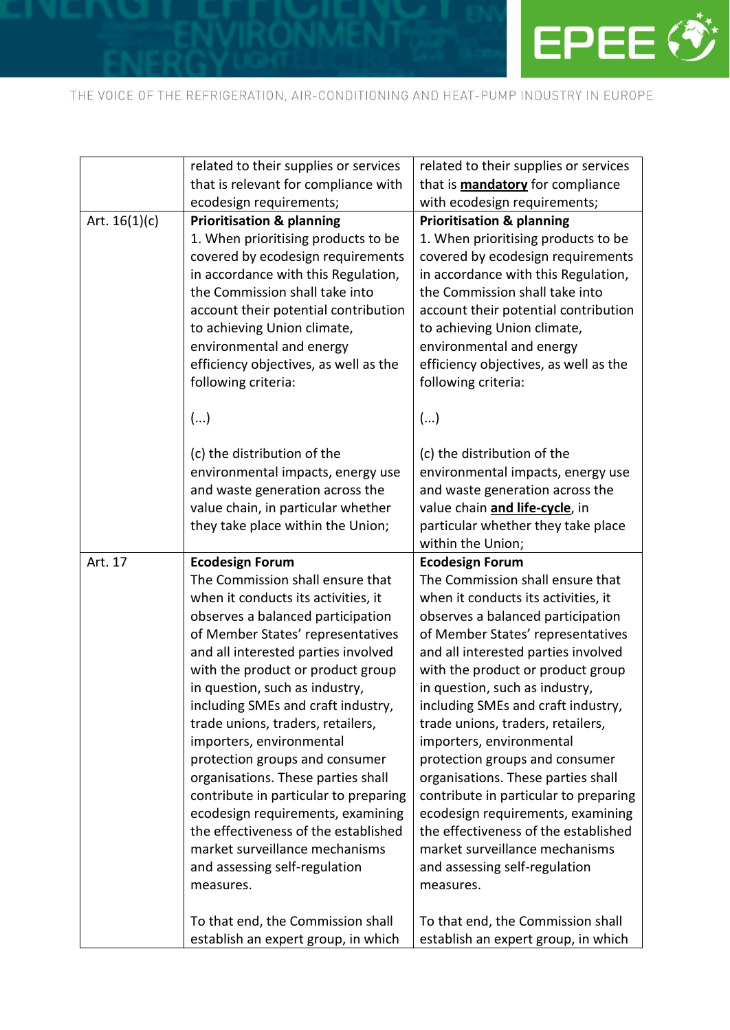

|                 | related to their supplies or services                                                                                                                                                                                                                                                                                                                                                                                                                                                                                                                                                                                                                | related to their supplies or services                                                                                                                                                                                                                                                                                                                                                                                                                                                                                                                                                                                                                |
|-----------------|------------------------------------------------------------------------------------------------------------------------------------------------------------------------------------------------------------------------------------------------------------------------------------------------------------------------------------------------------------------------------------------------------------------------------------------------------------------------------------------------------------------------------------------------------------------------------------------------------------------------------------------------------|------------------------------------------------------------------------------------------------------------------------------------------------------------------------------------------------------------------------------------------------------------------------------------------------------------------------------------------------------------------------------------------------------------------------------------------------------------------------------------------------------------------------------------------------------------------------------------------------------------------------------------------------------|
|                 | that is relevant for compliance with                                                                                                                                                                                                                                                                                                                                                                                                                                                                                                                                                                                                                 | that is <b>mandatory</b> for compliance                                                                                                                                                                                                                                                                                                                                                                                                                                                                                                                                                                                                              |
|                 | ecodesign requirements;                                                                                                                                                                                                                                                                                                                                                                                                                                                                                                                                                                                                                              | with ecodesign requirements;                                                                                                                                                                                                                                                                                                                                                                                                                                                                                                                                                                                                                         |
| Art. $16(1)(c)$ | <b>Prioritisation &amp; planning</b>                                                                                                                                                                                                                                                                                                                                                                                                                                                                                                                                                                                                                 | <b>Prioritisation &amp; planning</b>                                                                                                                                                                                                                                                                                                                                                                                                                                                                                                                                                                                                                 |
|                 | 1. When prioritising products to be<br>covered by ecodesign requirements<br>in accordance with this Regulation,<br>the Commission shall take into<br>account their potential contribution<br>to achieving Union climate,<br>environmental and energy<br>efficiency objectives, as well as the<br>following criteria:                                                                                                                                                                                                                                                                                                                                 | 1. When prioritising products to be<br>covered by ecodesign requirements<br>in accordance with this Regulation,<br>the Commission shall take into<br>account their potential contribution<br>to achieving Union climate,<br>environmental and energy<br>efficiency objectives, as well as the<br>following criteria:                                                                                                                                                                                                                                                                                                                                 |
|                 | ()                                                                                                                                                                                                                                                                                                                                                                                                                                                                                                                                                                                                                                                   | ()                                                                                                                                                                                                                                                                                                                                                                                                                                                                                                                                                                                                                                                   |
|                 | (c) the distribution of the<br>environmental impacts, energy use<br>and waste generation across the<br>value chain, in particular whether<br>they take place within the Union;                                                                                                                                                                                                                                                                                                                                                                                                                                                                       | (c) the distribution of the<br>environmental impacts, energy use<br>and waste generation across the<br>value chain and life-cycle, in<br>particular whether they take place<br>within the Union;                                                                                                                                                                                                                                                                                                                                                                                                                                                     |
|                 |                                                                                                                                                                                                                                                                                                                                                                                                                                                                                                                                                                                                                                                      |                                                                                                                                                                                                                                                                                                                                                                                                                                                                                                                                                                                                                                                      |
| Art. 17         | <b>Ecodesign Forum</b>                                                                                                                                                                                                                                                                                                                                                                                                                                                                                                                                                                                                                               | <b>Ecodesign Forum</b>                                                                                                                                                                                                                                                                                                                                                                                                                                                                                                                                                                                                                               |
|                 | The Commission shall ensure that<br>when it conducts its activities, it<br>observes a balanced participation<br>of Member States' representatives<br>and all interested parties involved<br>with the product or product group<br>in question, such as industry,<br>including SMEs and craft industry,<br>trade unions, traders, retailers,<br>importers, environmental<br>protection groups and consumer<br>organisations. These parties shall<br>contribute in particular to preparing<br>ecodesign requirements, examining<br>the effectiveness of the established<br>market surveillance mechanisms<br>and assessing self-regulation<br>measures. | The Commission shall ensure that<br>when it conducts its activities, it<br>observes a balanced participation<br>of Member States' representatives<br>and all interested parties involved<br>with the product or product group<br>in question, such as industry,<br>including SMEs and craft industry,<br>trade unions, traders, retailers,<br>importers, environmental<br>protection groups and consumer<br>organisations. These parties shall<br>contribute in particular to preparing<br>ecodesign requirements, examining<br>the effectiveness of the established<br>market surveillance mechanisms<br>and assessing self-regulation<br>measures. |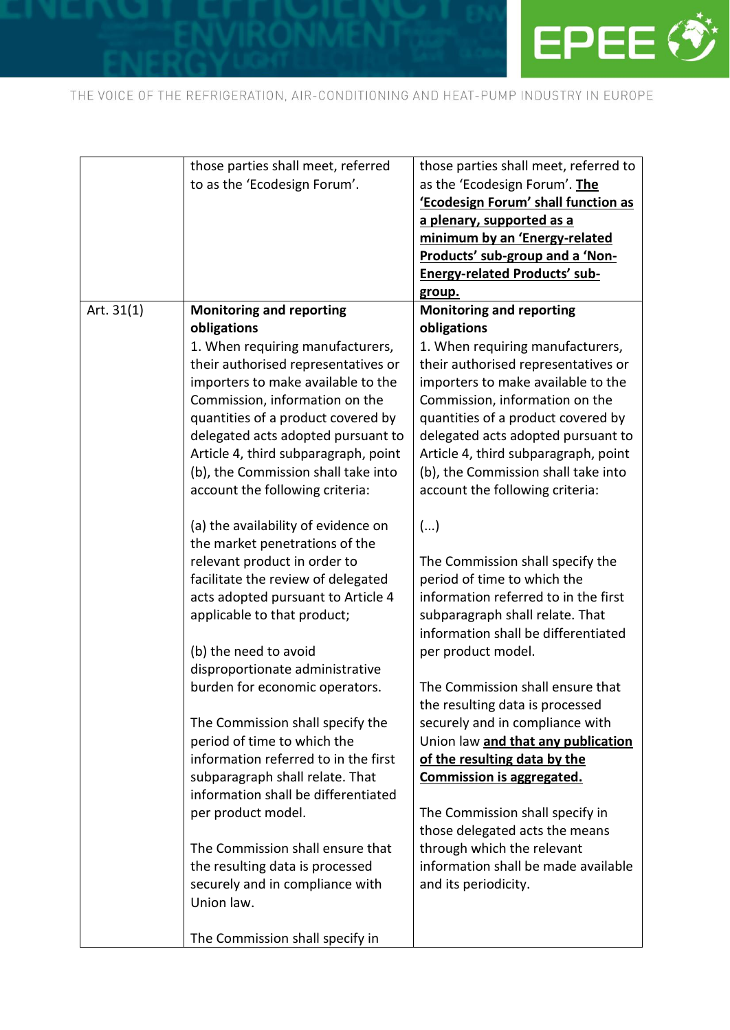

|              | those parties shall meet, referred   | those parties shall meet, referred to |
|--------------|--------------------------------------|---------------------------------------|
|              | to as the 'Ecodesign Forum'.         | as the 'Ecodesign Forum'. The         |
|              |                                      | 'Ecodesign Forum' shall function as   |
|              |                                      | a plenary, supported as a             |
|              |                                      | minimum by an 'Energy-related         |
|              |                                      | Products' sub-group and a 'Non-       |
|              |                                      | <b>Energy-related Products' sub-</b>  |
|              |                                      | group.                                |
| Art. $31(1)$ | <b>Monitoring and reporting</b>      | <b>Monitoring and reporting</b>       |
|              | obligations                          | obligations                           |
|              | 1. When requiring manufacturers,     | 1. When requiring manufacturers,      |
|              | their authorised representatives or  | their authorised representatives or   |
|              | importers to make available to the   | importers to make available to the    |
|              | Commission, information on the       | Commission, information on the        |
|              | quantities of a product covered by   | quantities of a product covered by    |
|              | delegated acts adopted pursuant to   | delegated acts adopted pursuant to    |
|              | Article 4, third subparagraph, point | Article 4, third subparagraph, point  |
|              | (b), the Commission shall take into  | (b), the Commission shall take into   |
|              | account the following criteria:      | account the following criteria:       |
|              |                                      |                                       |
|              | (a) the availability of evidence on  | ()                                    |
|              | the market penetrations of the       |                                       |
|              | relevant product in order to         | The Commission shall specify the      |
|              | facilitate the review of delegated   | period of time to which the           |
|              | acts adopted pursuant to Article 4   | information referred to in the first  |
|              | applicable to that product;          | subparagraph shall relate. That       |
|              |                                      | information shall be differentiated   |
|              | (b) the need to avoid                | per product model.                    |
|              | disproportionate administrative      |                                       |
|              | burden for economic operators.       | The Commission shall ensure that      |
|              |                                      | the resulting data is processed       |
|              | The Commission shall specify the     | securely and in compliance with       |
|              | period of time to which the          | Union law and that any publication    |
|              | information referred to in the first | of the resulting data by the          |
|              | subparagraph shall relate. That      | Commission is aggregated.             |
|              | information shall be differentiated  |                                       |
|              | per product model.                   | The Commission shall specify in       |
|              |                                      | those delegated acts the means        |
|              | The Commission shall ensure that     | through which the relevant            |
|              | the resulting data is processed      | information shall be made available   |
|              | securely and in compliance with      | and its periodicity.                  |
|              | Union law.                           |                                       |
|              |                                      |                                       |
|              | The Commission shall specify in      |                                       |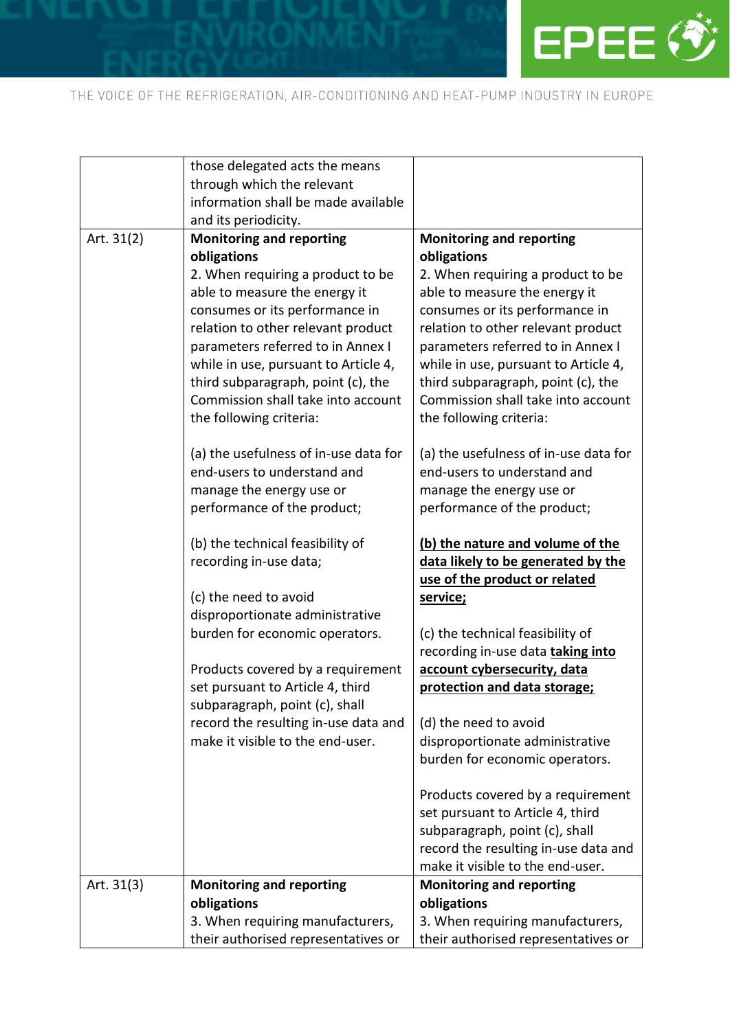

|              | those delegated acts the means        |                                                                     |
|--------------|---------------------------------------|---------------------------------------------------------------------|
|              | through which the relevant            |                                                                     |
|              | information shall be made available   |                                                                     |
|              | and its periodicity.                  |                                                                     |
| Art. 31(2)   | <b>Monitoring and reporting</b>       | <b>Monitoring and reporting</b>                                     |
|              | obligations                           | obligations                                                         |
|              | 2. When requiring a product to be     | 2. When requiring a product to be                                   |
|              | able to measure the energy it         | able to measure the energy it                                       |
|              | consumes or its performance in        | consumes or its performance in                                      |
|              | relation to other relevant product    | relation to other relevant product                                  |
|              | parameters referred to in Annex I     | parameters referred to in Annex I                                   |
|              | while in use, pursuant to Article 4,  | while in use, pursuant to Article 4,                                |
|              | third subparagraph, point (c), the    | third subparagraph, point (c), the                                  |
|              | Commission shall take into account    | Commission shall take into account                                  |
|              | the following criteria:               | the following criteria:                                             |
|              | (a) the usefulness of in-use data for | (a) the usefulness of in-use data for                               |
|              | end-users to understand and           | end-users to understand and                                         |
|              | manage the energy use or              | manage the energy use or                                            |
|              | performance of the product;           | performance of the product;                                         |
|              | (b) the technical feasibility of      | (b) the nature and volume of the                                    |
|              | recording in-use data;                | data likely to be generated by the<br>use of the product or related |
|              | (c) the need to avoid                 | service;                                                            |
|              | disproportionate administrative       |                                                                     |
|              | burden for economic operators.        | (c) the technical feasibility of                                    |
|              |                                       | recording in-use data taking into                                   |
|              | Products covered by a requirement     | account cybersecurity, data                                         |
|              | set pursuant to Article 4, third      | protection and data storage;                                        |
|              | subparagraph, point (c), shall        |                                                                     |
|              | record the resulting in-use data and  | (d) the need to avoid                                               |
|              | make it visible to the end-user.      | disproportionate administrative                                     |
|              |                                       | burden for economic operators.                                      |
|              |                                       | Products covered by a requirement                                   |
|              |                                       | set pursuant to Article 4, third                                    |
|              |                                       | subparagraph, point (c), shall                                      |
|              |                                       | record the resulting in-use data and                                |
|              |                                       | make it visible to the end-user.                                    |
| Art. $31(3)$ | <b>Monitoring and reporting</b>       | <b>Monitoring and reporting</b>                                     |
|              | obligations                           | obligations                                                         |
|              | 3. When requiring manufacturers,      | 3. When requiring manufacturers,                                    |
|              | their authorised representatives or   | their authorised representatives or                                 |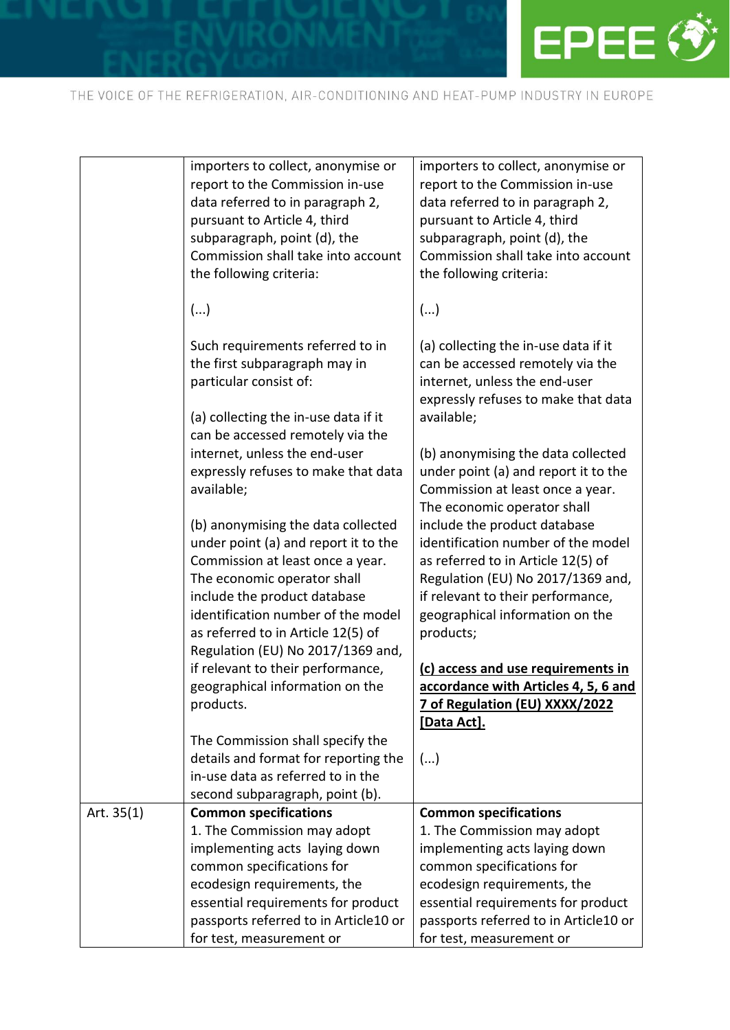

|              | importers to collect, anonymise or<br>report to the Commission in-use<br>data referred to in paragraph 2,<br>pursuant to Article 4, third<br>subparagraph, point (d), the<br>Commission shall take into account | importers to collect, anonymise or<br>report to the Commission in-use<br>data referred to in paragraph 2,<br>pursuant to Article 4, third<br>subparagraph, point (d), the<br>Commission shall take into account |
|--------------|-----------------------------------------------------------------------------------------------------------------------------------------------------------------------------------------------------------------|-----------------------------------------------------------------------------------------------------------------------------------------------------------------------------------------------------------------|
|              | the following criteria:                                                                                                                                                                                         | the following criteria:                                                                                                                                                                                         |
|              | ()                                                                                                                                                                                                              | ()                                                                                                                                                                                                              |
|              | Such requirements referred to in<br>the first subparagraph may in<br>particular consist of:<br>(a) collecting the in-use data if it                                                                             | (a) collecting the in-use data if it<br>can be accessed remotely via the<br>internet, unless the end-user<br>expressly refuses to make that data<br>available;                                                  |
|              | can be accessed remotely via the<br>internet, unless the end-user<br>expressly refuses to make that data<br>available;                                                                                          | (b) anonymising the data collected<br>under point (a) and report it to the<br>Commission at least once a year.<br>The economic operator shall                                                                   |
|              | (b) anonymising the data collected<br>under point (a) and report it to the<br>Commission at least once a year.<br>The economic operator shall<br>include the product database                                   | include the product database<br>identification number of the model<br>as referred to in Article 12(5) of<br>Regulation (EU) No 2017/1369 and,<br>if relevant to their performance,                              |
|              | identification number of the model<br>as referred to in Article 12(5) of<br>Regulation (EU) No 2017/1369 and,                                                                                                   | geographical information on the<br>products;                                                                                                                                                                    |
|              | if relevant to their performance,<br>geographical information on the<br>products.                                                                                                                               | (c) access and use requirements in<br>accordance with Articles 4, 5, 6 and<br>7 of Regulation (EU) XXXX/2022<br>[Data Act].                                                                                     |
|              | The Commission shall specify the<br>details and format for reporting the<br>in-use data as referred to in the<br>second subparagraph, point (b).                                                                | ()                                                                                                                                                                                                              |
| Art. $35(1)$ | <b>Common specifications</b>                                                                                                                                                                                    | <b>Common specifications</b>                                                                                                                                                                                    |
|              | 1. The Commission may adopt                                                                                                                                                                                     | 1. The Commission may adopt                                                                                                                                                                                     |
|              | implementing acts laying down                                                                                                                                                                                   | implementing acts laying down                                                                                                                                                                                   |
|              | common specifications for                                                                                                                                                                                       | common specifications for                                                                                                                                                                                       |
|              | ecodesign requirements, the                                                                                                                                                                                     | ecodesign requirements, the                                                                                                                                                                                     |
|              | essential requirements for product                                                                                                                                                                              | essential requirements for product                                                                                                                                                                              |
|              | passports referred to in Article10 or                                                                                                                                                                           | passports referred to in Article10 or                                                                                                                                                                           |
|              | for test, measurement or                                                                                                                                                                                        | for test, measurement or                                                                                                                                                                                        |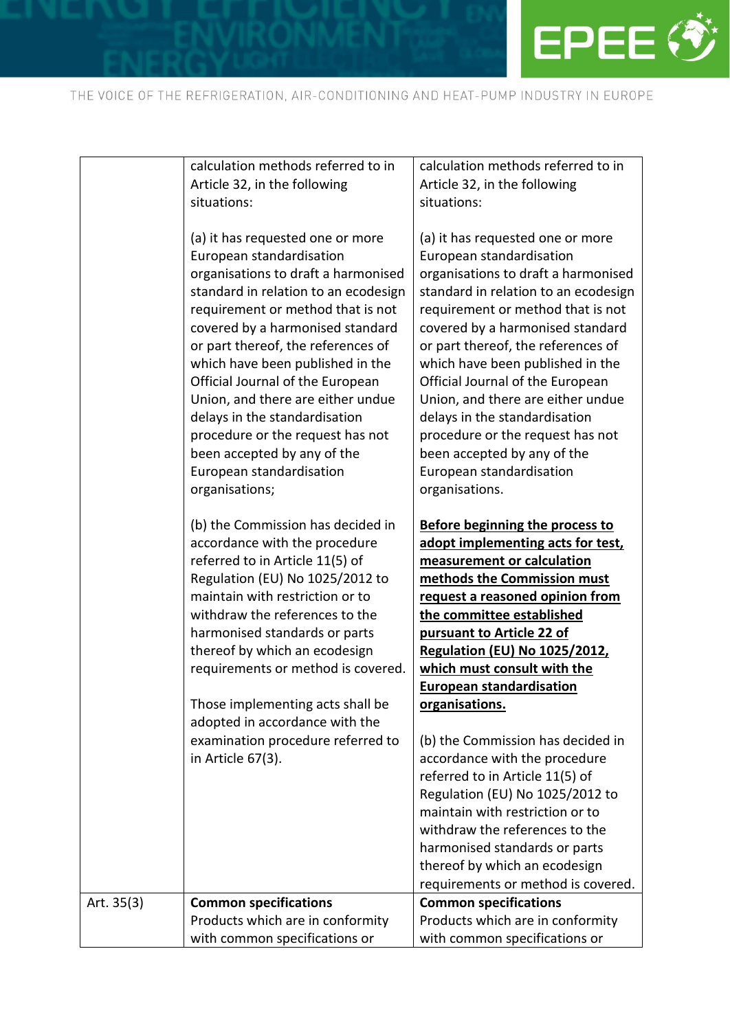

|            | calculation methods referred to in<br>Article 32, in the following<br>situations:<br>(a) it has requested one or more<br>European standardisation<br>organisations to draft a harmonised<br>standard in relation to an ecodesign<br>requirement or method that is not<br>covered by a harmonised standard<br>or part thereof, the references of<br>which have been published in the<br>Official Journal of the European<br>Union, and there are either undue<br>delays in the standardisation<br>procedure or the request has not<br>been accepted by any of the<br>European standardisation<br>organisations;<br>(b) the Commission has decided in<br>accordance with the procedure<br>referred to in Article 11(5) of<br>Regulation (EU) No 1025/2012 to<br>maintain with restriction or to<br>withdraw the references to the<br>harmonised standards or parts<br>thereof by which an ecodesign<br>requirements or method is covered.<br>Those implementing acts shall be<br>adopted in accordance with the<br>examination procedure referred to | calculation methods referred to in<br>Article 32, in the following<br>situations:<br>(a) it has requested one or more<br>European standardisation<br>organisations to draft a harmonised<br>standard in relation to an ecodesign<br>requirement or method that is not<br>covered by a harmonised standard<br>or part thereof, the references of<br>which have been published in the<br>Official Journal of the European<br>Union, and there are either undue<br>delays in the standardisation<br>procedure or the request has not<br>been accepted by any of the<br>European standardisation<br>organisations.<br><b>Before beginning the process to</b><br>adopt implementing acts for test,<br>measurement or calculation<br>methods the Commission must<br>request a reasoned opinion from<br>the committee established<br>pursuant to Article 22 of<br><b>Regulation (EU) No 1025/2012,</b><br>which must consult with the<br><b>European standardisation</b><br>organisations.<br>(b) the Commission has decided in |
|------------|----------------------------------------------------------------------------------------------------------------------------------------------------------------------------------------------------------------------------------------------------------------------------------------------------------------------------------------------------------------------------------------------------------------------------------------------------------------------------------------------------------------------------------------------------------------------------------------------------------------------------------------------------------------------------------------------------------------------------------------------------------------------------------------------------------------------------------------------------------------------------------------------------------------------------------------------------------------------------------------------------------------------------------------------------|--------------------------------------------------------------------------------------------------------------------------------------------------------------------------------------------------------------------------------------------------------------------------------------------------------------------------------------------------------------------------------------------------------------------------------------------------------------------------------------------------------------------------------------------------------------------------------------------------------------------------------------------------------------------------------------------------------------------------------------------------------------------------------------------------------------------------------------------------------------------------------------------------------------------------------------------------------------------------------------------------------------------------|
|            |                                                                                                                                                                                                                                                                                                                                                                                                                                                                                                                                                                                                                                                                                                                                                                                                                                                                                                                                                                                                                                                    |                                                                                                                                                                                                                                                                                                                                                                                                                                                                                                                                                                                                                                                                                                                                                                                                                                                                                                                                                                                                                          |
|            |                                                                                                                                                                                                                                                                                                                                                                                                                                                                                                                                                                                                                                                                                                                                                                                                                                                                                                                                                                                                                                                    |                                                                                                                                                                                                                                                                                                                                                                                                                                                                                                                                                                                                                                                                                                                                                                                                                                                                                                                                                                                                                          |
|            |                                                                                                                                                                                                                                                                                                                                                                                                                                                                                                                                                                                                                                                                                                                                                                                                                                                                                                                                                                                                                                                    |                                                                                                                                                                                                                                                                                                                                                                                                                                                                                                                                                                                                                                                                                                                                                                                                                                                                                                                                                                                                                          |
|            | in Article 67(3).                                                                                                                                                                                                                                                                                                                                                                                                                                                                                                                                                                                                                                                                                                                                                                                                                                                                                                                                                                                                                                  | accordance with the procedure<br>referred to in Article 11(5) of<br>Regulation (EU) No 1025/2012 to<br>maintain with restriction or to<br>withdraw the references to the<br>harmonised standards or parts<br>thereof by which an ecodesign<br>requirements or method is covered.                                                                                                                                                                                                                                                                                                                                                                                                                                                                                                                                                                                                                                                                                                                                         |
| Art. 35(3) | <b>Common specifications</b><br>Products which are in conformity                                                                                                                                                                                                                                                                                                                                                                                                                                                                                                                                                                                                                                                                                                                                                                                                                                                                                                                                                                                   | <b>Common specifications</b><br>Products which are in conformity                                                                                                                                                                                                                                                                                                                                                                                                                                                                                                                                                                                                                                                                                                                                                                                                                                                                                                                                                         |
|            | with common specifications or                                                                                                                                                                                                                                                                                                                                                                                                                                                                                                                                                                                                                                                                                                                                                                                                                                                                                                                                                                                                                      | with common specifications or                                                                                                                                                                                                                                                                                                                                                                                                                                                                                                                                                                                                                                                                                                                                                                                                                                                                                                                                                                                            |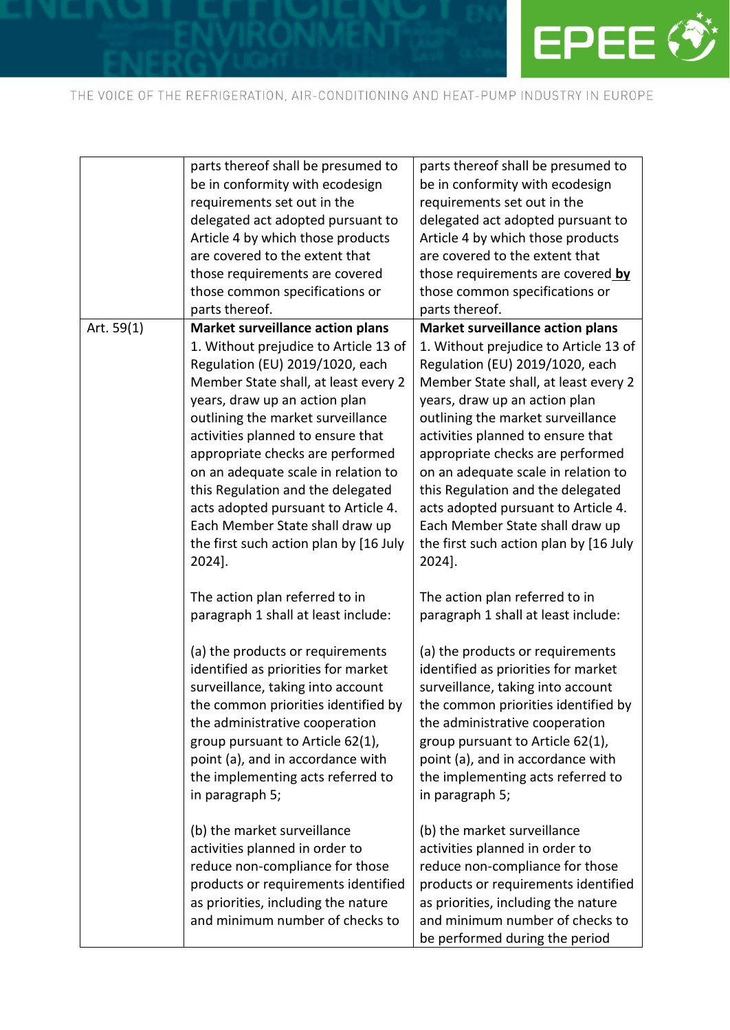

|            | parts thereof shall be presumed to                                                                                                                                                                                                                                                                                                                         | parts thereof shall be presumed to                                                                                                                                                                                                                                                                                                                                                           |
|------------|------------------------------------------------------------------------------------------------------------------------------------------------------------------------------------------------------------------------------------------------------------------------------------------------------------------------------------------------------------|----------------------------------------------------------------------------------------------------------------------------------------------------------------------------------------------------------------------------------------------------------------------------------------------------------------------------------------------------------------------------------------------|
|            | be in conformity with ecodesign                                                                                                                                                                                                                                                                                                                            | be in conformity with ecodesign                                                                                                                                                                                                                                                                                                                                                              |
|            | requirements set out in the                                                                                                                                                                                                                                                                                                                                | requirements set out in the                                                                                                                                                                                                                                                                                                                                                                  |
|            | delegated act adopted pursuant to                                                                                                                                                                                                                                                                                                                          | delegated act adopted pursuant to                                                                                                                                                                                                                                                                                                                                                            |
|            | Article 4 by which those products                                                                                                                                                                                                                                                                                                                          | Article 4 by which those products                                                                                                                                                                                                                                                                                                                                                            |
|            | are covered to the extent that                                                                                                                                                                                                                                                                                                                             | are covered to the extent that                                                                                                                                                                                                                                                                                                                                                               |
|            | those requirements are covered                                                                                                                                                                                                                                                                                                                             | those requirements are covered by                                                                                                                                                                                                                                                                                                                                                            |
|            | those common specifications or                                                                                                                                                                                                                                                                                                                             | those common specifications or                                                                                                                                                                                                                                                                                                                                                               |
|            | parts thereof.                                                                                                                                                                                                                                                                                                                                             | parts thereof.                                                                                                                                                                                                                                                                                                                                                                               |
| Art. 59(1) | <b>Market surveillance action plans</b>                                                                                                                                                                                                                                                                                                                    | <b>Market surveillance action plans</b>                                                                                                                                                                                                                                                                                                                                                      |
|            | 1. Without prejudice to Article 13 of                                                                                                                                                                                                                                                                                                                      | 1. Without prejudice to Article 13 of                                                                                                                                                                                                                                                                                                                                                        |
|            | Regulation (EU) 2019/1020, each                                                                                                                                                                                                                                                                                                                            | Regulation (EU) 2019/1020, each                                                                                                                                                                                                                                                                                                                                                              |
|            | Member State shall, at least every 2                                                                                                                                                                                                                                                                                                                       | Member State shall, at least every 2                                                                                                                                                                                                                                                                                                                                                         |
|            | years, draw up an action plan                                                                                                                                                                                                                                                                                                                              | years, draw up an action plan                                                                                                                                                                                                                                                                                                                                                                |
|            | outlining the market surveillance                                                                                                                                                                                                                                                                                                                          | outlining the market surveillance                                                                                                                                                                                                                                                                                                                                                            |
|            | activities planned to ensure that                                                                                                                                                                                                                                                                                                                          | activities planned to ensure that                                                                                                                                                                                                                                                                                                                                                            |
|            | appropriate checks are performed                                                                                                                                                                                                                                                                                                                           | appropriate checks are performed                                                                                                                                                                                                                                                                                                                                                             |
|            | on an adequate scale in relation to                                                                                                                                                                                                                                                                                                                        | on an adequate scale in relation to                                                                                                                                                                                                                                                                                                                                                          |
|            | this Regulation and the delegated                                                                                                                                                                                                                                                                                                                          | this Regulation and the delegated                                                                                                                                                                                                                                                                                                                                                            |
|            | acts adopted pursuant to Article 4.                                                                                                                                                                                                                                                                                                                        |                                                                                                                                                                                                                                                                                                                                                                                              |
|            | Each Member State shall draw up                                                                                                                                                                                                                                                                                                                            | acts adopted pursuant to Article 4.<br>Each Member State shall draw up                                                                                                                                                                                                                                                                                                                       |
|            |                                                                                                                                                                                                                                                                                                                                                            |                                                                                                                                                                                                                                                                                                                                                                                              |
|            | the first such action plan by [16 July                                                                                                                                                                                                                                                                                                                     | the first such action plan by [16 July                                                                                                                                                                                                                                                                                                                                                       |
|            | 2024].                                                                                                                                                                                                                                                                                                                                                     | 2024].                                                                                                                                                                                                                                                                                                                                                                                       |
|            | The action plan referred to in                                                                                                                                                                                                                                                                                                                             | The action plan referred to in                                                                                                                                                                                                                                                                                                                                                               |
|            | paragraph 1 shall at least include:                                                                                                                                                                                                                                                                                                                        | paragraph 1 shall at least include:                                                                                                                                                                                                                                                                                                                                                          |
|            |                                                                                                                                                                                                                                                                                                                                                            |                                                                                                                                                                                                                                                                                                                                                                                              |
|            | (a) the products or requirements                                                                                                                                                                                                                                                                                                                           | (a) the products or requirements                                                                                                                                                                                                                                                                                                                                                             |
|            | identified as priorities for market                                                                                                                                                                                                                                                                                                                        | identified as priorities for market                                                                                                                                                                                                                                                                                                                                                          |
|            | surveillance, taking into account                                                                                                                                                                                                                                                                                                                          | surveillance, taking into account                                                                                                                                                                                                                                                                                                                                                            |
|            |                                                                                                                                                                                                                                                                                                                                                            |                                                                                                                                                                                                                                                                                                                                                                                              |
|            |                                                                                                                                                                                                                                                                                                                                                            |                                                                                                                                                                                                                                                                                                                                                                                              |
|            |                                                                                                                                                                                                                                                                                                                                                            |                                                                                                                                                                                                                                                                                                                                                                                              |
|            |                                                                                                                                                                                                                                                                                                                                                            |                                                                                                                                                                                                                                                                                                                                                                                              |
|            |                                                                                                                                                                                                                                                                                                                                                            |                                                                                                                                                                                                                                                                                                                                                                                              |
|            |                                                                                                                                                                                                                                                                                                                                                            |                                                                                                                                                                                                                                                                                                                                                                                              |
|            |                                                                                                                                                                                                                                                                                                                                                            |                                                                                                                                                                                                                                                                                                                                                                                              |
|            | (b) the market surveillance                                                                                                                                                                                                                                                                                                                                | (b) the market surveillance                                                                                                                                                                                                                                                                                                                                                                  |
|            | activities planned in order to                                                                                                                                                                                                                                                                                                                             | activities planned in order to                                                                                                                                                                                                                                                                                                                                                               |
|            |                                                                                                                                                                                                                                                                                                                                                            |                                                                                                                                                                                                                                                                                                                                                                                              |
|            |                                                                                                                                                                                                                                                                                                                                                            |                                                                                                                                                                                                                                                                                                                                                                                              |
|            |                                                                                                                                                                                                                                                                                                                                                            |                                                                                                                                                                                                                                                                                                                                                                                              |
|            |                                                                                                                                                                                                                                                                                                                                                            |                                                                                                                                                                                                                                                                                                                                                                                              |
|            |                                                                                                                                                                                                                                                                                                                                                            |                                                                                                                                                                                                                                                                                                                                                                                              |
|            | the common priorities identified by<br>the administrative cooperation<br>group pursuant to Article 62(1),<br>point (a), and in accordance with<br>the implementing acts referred to<br>in paragraph 5;<br>reduce non-compliance for those<br>products or requirements identified<br>as priorities, including the nature<br>and minimum number of checks to | the common priorities identified by<br>the administrative cooperation<br>group pursuant to Article 62(1),<br>point (a), and in accordance with<br>the implementing acts referred to<br>in paragraph 5;<br>reduce non-compliance for those<br>products or requirements identified<br>as priorities, including the nature<br>and minimum number of checks to<br>be performed during the period |